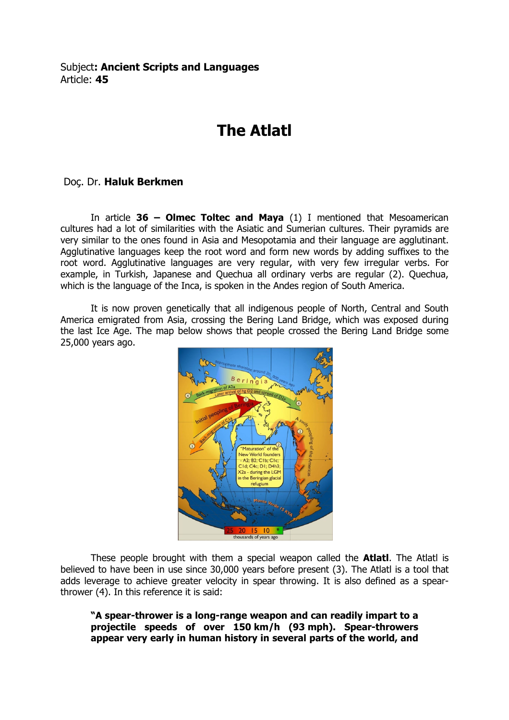## The Atlatl

## Doç. Dr. Haluk Berkmen

In article  $36$  – Olmec Toltec and Maya (1) I mentioned that Mesoamerican cultures had a lot of similarities with the Asiatic and Sumerian cultures. Their pyramids are very similar to the ones found in Asia and Mesopotamia and their language are agglutinant. Agglutinative languages keep the root word and form new words by adding suffixes to the root word. Agglutinative languages are very regular, with very few irregular verbs. For example, in Turkish, Japanese and Quechua all ordinary verbs are regular (2). Quechua, which is the language of the Inca, is spoken in the Andes region of South America.

 It is now proven genetically that all indigenous people of North, Central and South America emigrated from Asia, crossing the Bering Land Bridge, which was exposed during the last Ice Age. The map below shows that people crossed the Bering Land Bridge some 25,000 years ago.



These people brought with them a special weapon called the **Atlatl**. The Atlatl is believed to have been in use since 30,000 years before present (3). The Atlatl is a tool that adds leverage to achieve greater velocity in spear throwing. It is also defined as a spearthrower (4). In this reference it is said:

"A spear-thrower is a long-range weapon and can readily impart to a projectile speeds of over 150 km/h (93 mph). Spear-throwers appear very early in human history in several parts of the world, and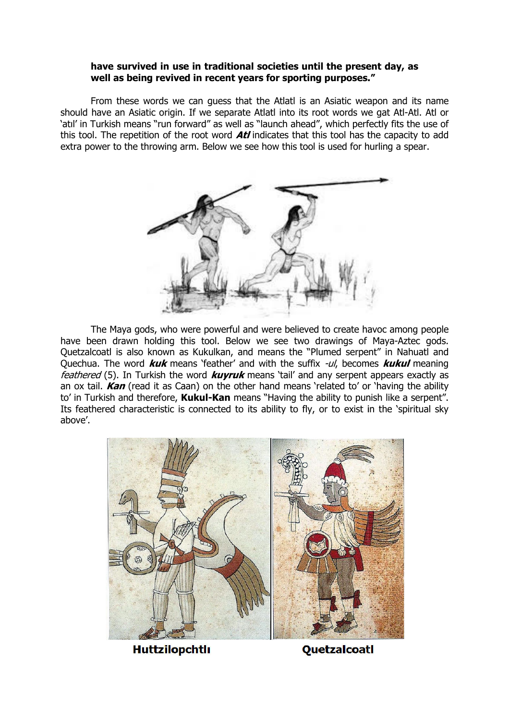## have survived in use in traditional societies until the present day, as well as being revived in recent years for sporting purposes."

From these words we can guess that the Atlatl is an Asiatic weapon and its name should have an Asiatic origin. If we separate Atlatl into its root words we gat Atl-Atl. Atl or `atıl' in Turkish means ``run forward" as well as ``launch ahead", which perfectly fits the use of this tool. The repetition of the root word  $\pmb{A}\pmb{t} \pmb{t}$  indicates that this tool has the capacity to add extra power to the throwing arm. Below we see how this tool is used for hurling a spear.



The Maya gods, who were powerful and were believed to create havoc among people have been drawn holding this tool. Below we see two drawings of Maya-Aztec gods. Quetzalcoatl is also known as Kukulkan, and means the "Plumed serpent" in Nahuatl and Quechua. The word *kuk* means 'feather' and with the suffix *-ul*, becomes *kukul* meaning *feathered* (5). In Turkish the word *kuyruk* means 'tail' and any serpent appears exactly as an ox tail. Kan (read it as Caan) on the other hand means 'related to' or 'having the ability to' in Turkish and therefore, **Kukul-Kan** means "Having the ability to punish like a serpent". Its feathered characteristic is connected to its ability to fly, or to exist in the 'spiritual sky above'.



**Huttzilopchtlı** 

Quetzalcoatl